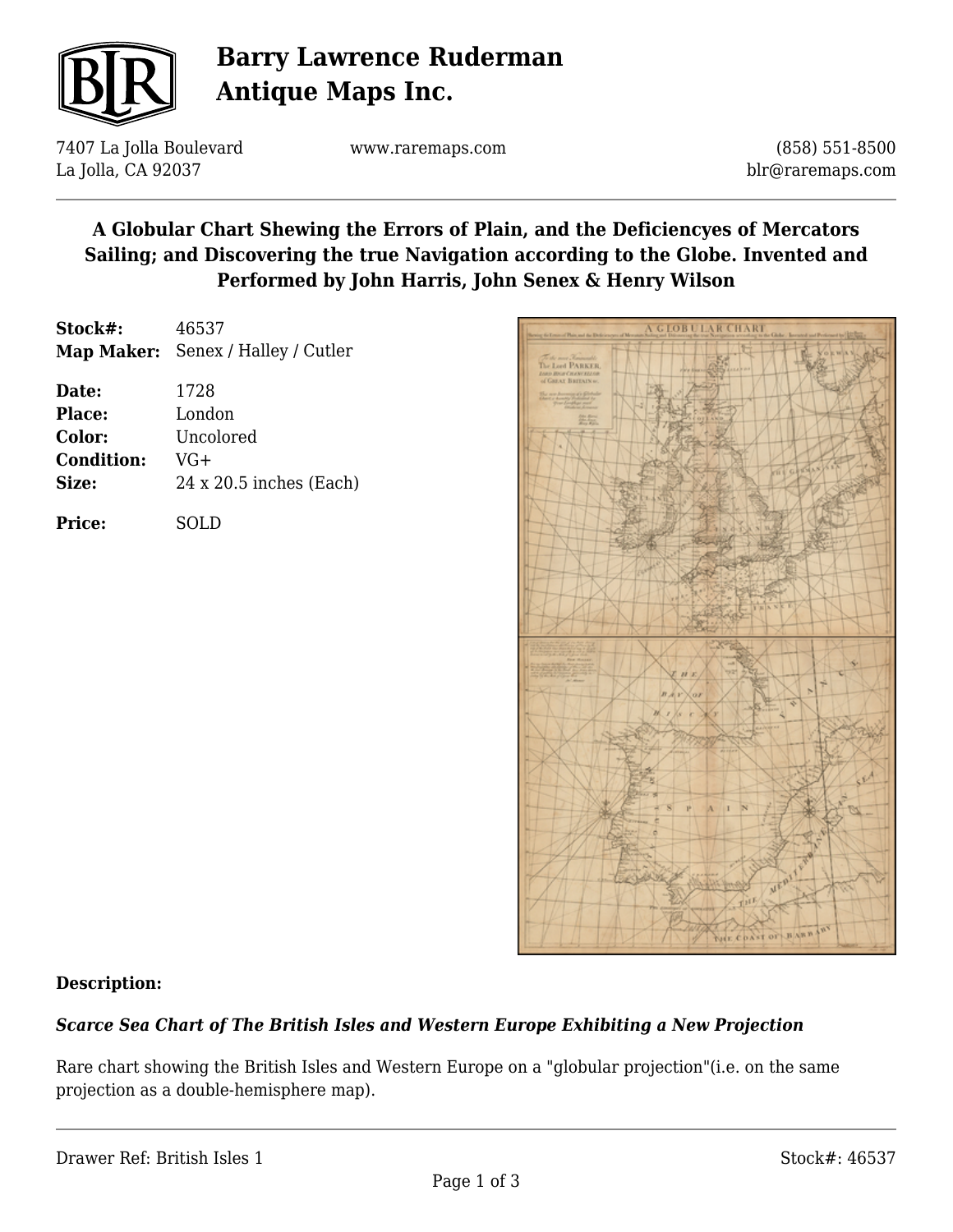

# **Barry Lawrence Ruderman Antique Maps Inc.**

7407 La Jolla Boulevard La Jolla, CA 92037

www.raremaps.com

(858) 551-8500 blr@raremaps.com

## **A Globular Chart Shewing the Errors of Plain, and the Deficiencyes of Mercators Sailing; and Discovering the true Navigation according to the Globe. Invented and Performed by John Harris, John Senex & Henry Wilson**

**Stock#:** 46537 **Map Maker:** Senex / Halley / Cutler

| Date:             | 1728                           |
|-------------------|--------------------------------|
| <b>Place:</b>     | London                         |
| Color:            | Uncolored                      |
| <b>Condition:</b> | VG+                            |
| Size:             | $24 \times 20.5$ inches (Each) |
|                   |                                |

**Price:** SOLD



### **Description:**

### *Scarce Sea Chart of The British Isles and Western Europe Exhibiting a New Projection*

Rare chart showing the British Isles and Western Europe on a "globular projection"(i.e. on the same projection as a double-hemisphere map).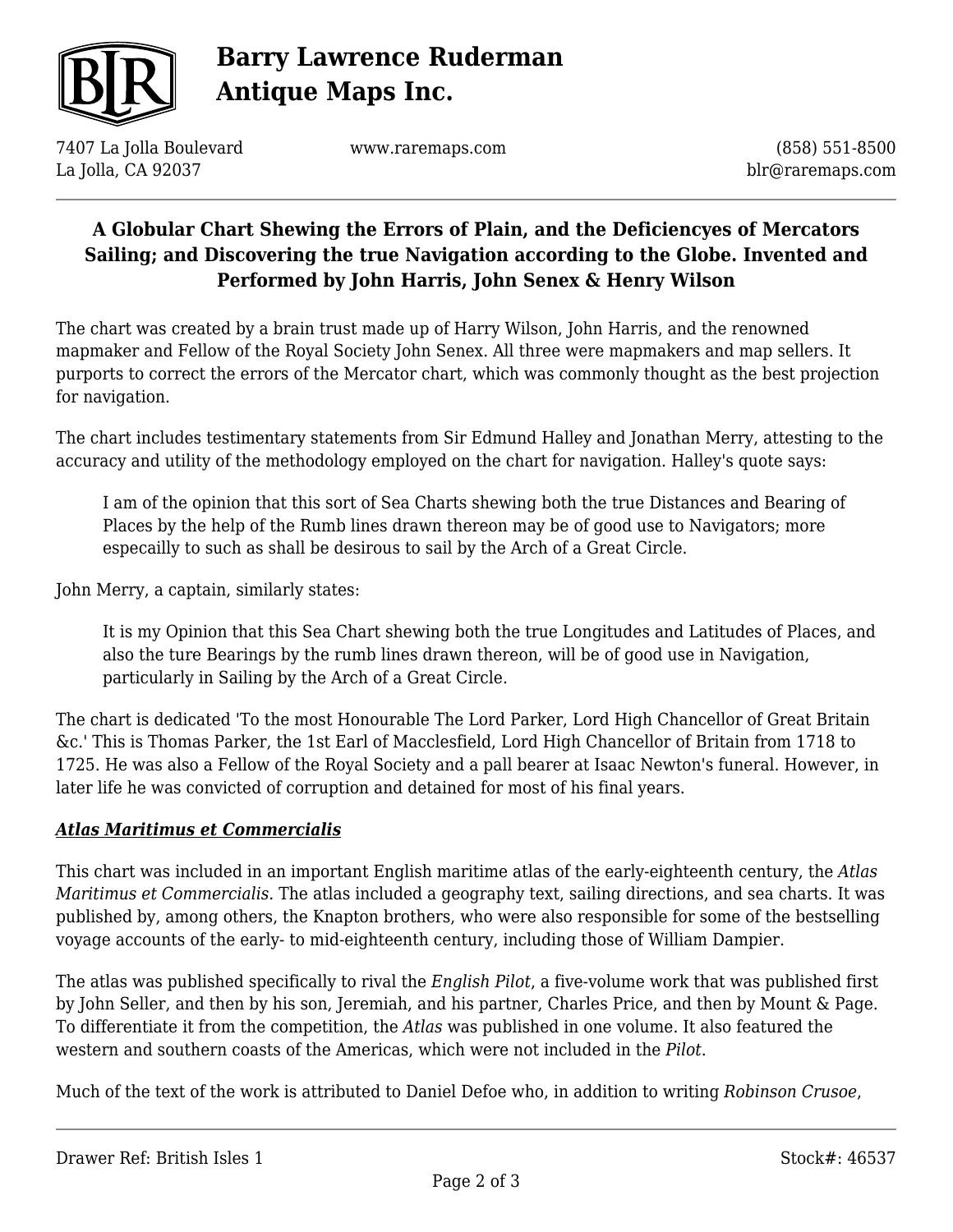

# **Barry Lawrence Ruderman Antique Maps Inc.**

7407 La Jolla Boulevard La Jolla, CA 92037

www.raremaps.com

(858) 551-8500 blr@raremaps.com

## **A Globular Chart Shewing the Errors of Plain, and the Deficiencyes of Mercators Sailing; and Discovering the true Navigation according to the Globe. Invented and Performed by John Harris, John Senex & Henry Wilson**

The chart was created by a brain trust made up of Harry Wilson, John Harris, and the renowned mapmaker and Fellow of the Royal Society John Senex. All three were mapmakers and map sellers. It purports to correct the errors of the Mercator chart, which was commonly thought as the best projection for navigation.

The chart includes testimentary statements from Sir Edmund Halley and Jonathan Merry, attesting to the accuracy and utility of the methodology employed on the chart for navigation. Halley's quote says:

I am of the opinion that this sort of Sea Charts shewing both the true Distances and Bearing of Places by the help of the Rumb lines drawn thereon may be of good use to Navigators; more especailly to such as shall be desirous to sail by the Arch of a Great Circle.

John Merry, a captain, similarly states:

It is my Opinion that this Sea Chart shewing both the true Longitudes and Latitudes of Places, and also the ture Bearings by the rumb lines drawn thereon, will be of good use in Navigation, particularly in Sailing by the Arch of a Great Circle.

The chart is dedicated 'To the most Honourable The Lord Parker, Lord High Chancellor of Great Britain &c.' This is Thomas Parker, the 1st Earl of Macclesfield, Lord High Chancellor of Britain from 1718 to 1725. He was also a Fellow of the Royal Society and a pall bearer at Isaac Newton's funeral. However, in later life he was convicted of corruption and detained for most of his final years.

### *Atlas Maritimus et Commercialis*

This chart was included in an important English maritime atlas of the early-eighteenth century, the *Atlas Maritimus et Commercialis.* The atlas included a geography text, sailing directions, and sea charts. It was published by, among others, the Knapton brothers, who were also responsible for some of the bestselling voyage accounts of the early- to mid-eighteenth century, including those of William Dampier.

The atlas was published specifically to rival the *English Pilot*, a five-volume work that was published first by John Seller, and then by his son, Jeremiah, and his partner, Charles Price, and then by Mount & Page. To differentiate it from the competition, the *Atlas* was published in one volume. It also featured the western and southern coasts of the Americas, which were not included in the *Pilot*.

Much of the text of the work is attributed to Daniel Defoe who, in addition to writing *Robinson Crusoe*,